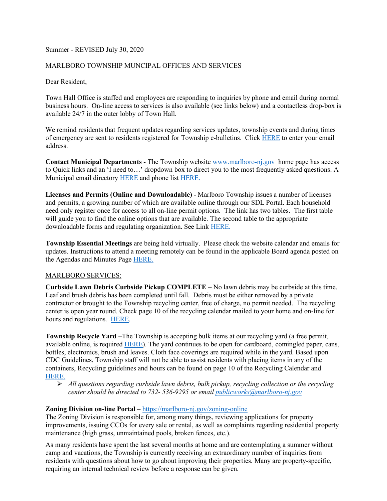## Summer - REVISED July 30, 2020

## MARLBORO TOWNSHIP MUNCIPAL OFFICES AND SERVICES

Dear Resident,

Town Hall Office is staffed and employees are responding to inquiries by phone and email during normal business hours. On-line access to services is also available (see links below) and a contactless drop-box is available 24/7 in the outer lobby of Town Hall.

We remind residents that frequent updates regarding services updates, township events and during times of emergency are sent to residents registered for Township e-bulletins. Click [HERE](https://marlboro-nj.gov/register-e-bulletin) to enter your email address.

**Contact Municipal Departments** - The Township website [www.marlboro-nj.gov](http://www.marlboro-nj.gov/) home page has access to Quick links and an 'I need to…' dropdown box to direct you to the most frequently asked questions. A Municipal email directory [HERE](https://www.marlboro-nj.gov/e-mail-directory) and phone list [HERE.](https://www.marlboro-nj.gov/telephone-directory) 

**Licenses and Permits (Online and Downloadable) -** Marlboro Township issues a number of licenses and permits, a growing number of which are available online through our SDL Portal. Each household need only register once for access to all on-line permit options. The link has two tables. The first table will guide you to find the online options that are available. The second table to the appropriate downloadable forms and regulating organization. See Link [HERE.](https://www.marlboro-nj.gov/documents/forms-permits-licenses)

**Township Essential Meetings** are being held virtually. Please check the website calendar and emails for updates. Instructions to attend a meeting remotely can be found in the applicable Board agenda posted on the Agendas and Minutes Page [HERE.](https://www.marlboro-nj.gov/documents/agendas-minutes) 

## MARLBORO SERVICES:

**Curbside Lawn Debris Curbside Pickup COMPLETE –** No lawn debris may be curbside at this time. Leaf and brush debris has been completed until fall. Debris must be either removed by a private contractor or brought to the Township recycling center, free of charge, no permit needed. The recycling center is open year round. Check page 10 of the recycling calendar mailed to your home and on-line for hours and regulations. [HERE.](https://www.marlboro-nj.gov/images/public-works/2020-Recycling-Calendar.pdf)

**Township Recycle Yard** –The Township is accepting bulk items at our recycling yard (a free permit, available online, is required [HERE\)](https://www.marlboro-nj.gov/documents/forms-permits-licenses). The yard continues to be open for cardboard, comingled paper, cans, bottles, electronics, brush and leaves. Cloth face coverings are required while in the yard. Based upon CDC Guidelines, Township staff will not be able to assist residents with placing items in any of the containers, Recycling guidelines and hours can be found on page 10 of the Recycling Calendar and [HERE.](https://marlboro-nj.gov/images/public-works/2020-Recycling-Calendar.pdf#page=10) 

 *All questions regarding curbside lawn debris, bulk pickup, recycling collection or the recycling center should be directed to 732- 536-9295 or email [publicworks@marlboro-nj.gov](mailto:publicworks@marlboro-nj.gov)*

## **Zoning Division on-line Portal –** <https://marlboro-nj.gov/zoning-online>

The Zoning Division is responsible for, among many things, reviewing applications for property improvements, issuing CCOs for every sale or rental, as well as complaints regarding residential property maintenance (high grass, unmaintained pools, broken fences, etc.).

As many residents have spent the last several months at home and are contemplating a summer without camp and vacations, the Township is currently receiving an extraordinary number of inquiries from residents with questions about how to go about improving their properties. Many are property-specific, requiring an internal technical review before a response can be given.